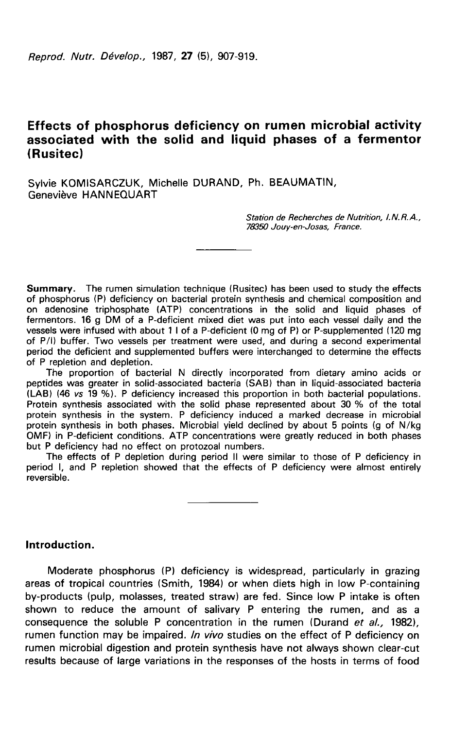# Effects of phosphorus deficiency on rumen microbial activity associated with the solid and liquid phases of a fermentor (Rusitec)

Sylvie KOMISARCZUK, Michelle DURAND, Ph. BEAUMATIN, Geneviève HANNEQUART

> Station de Recherches de Nutrition, I.N.R.A., 78350 Jouy-en-Josas, France.

Summary. The rumen simulation technique (Rusitec) has been used to study the effects of phosphorus (P) deficiency on bacterial protein synthesis and chemical composition and on adenosine triphosphate (ATP) concentrations in the solid and liquid phases of fermentors. 16 g DM of a P-deficient mixed diet was put into each vessel daily and the vessels were infused with about 1 1 of a P-deficient (0 mg of P) or P-supplemented (120 mg of P/1) buffer. Two vessels per treatment were used, and during a second experimental period the deficient and supplemented buffers were interchanged to determine the effects of P repletion and depletion.

The proportion of bacterial N directly incorporated from dietary amino acids or peptides was greater in solid-associated bacteria (SAB) than in liquid-associated bacteria (LAB) (46 vs 19 %). P deficiency increased this proportion in both bacterial populations. Protein synthesis associated with the solid phase represented about 30 % of the total protein synthesis in the system. P deficiency induced a marked decrease in microbial protein synthesis in both phases. Microbial yield declined by about 5 points (g of N/kg OMF) in P-deficient conditions. ATP concentrations were greatly reduced in both phases but P deficiency had no effect on protozoal numbers.

The effects of P depletion during period II were similar to those of P deficiency in period I, and P repletion showed that the effects of P deficiency were almost entirely reversible.

## Introduction.

Moderate phosphorus (P) deficiency is widespread, particularly in grazing areas of tropical countries (Smith, 1984) or when diets high in low P-containing by-products (pulp, molasses, treated straw) are fed. Since low P intake is often shown to reduce the amount of salivary P entering the rumen, and as a consequence the soluble P concentration in the rumen (Durand et al., 1982), rumen function may be impaired. In vivo studies on the effect of P deficiency on rumen microbial digestion and protein synthesis have not always shown clear-cut results because of large variations in the responses of the hosts in terms of food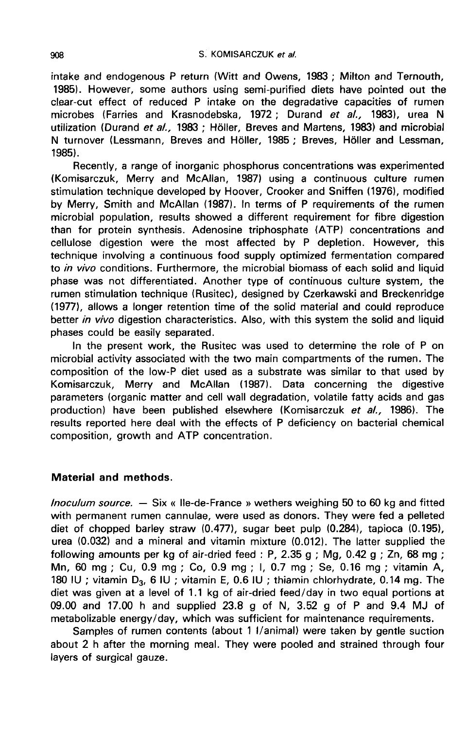intake and endogenous P return (Witt and Owens, 1983 ; Milton and Ternouth, 1985). However, some authors using semi-purified diets have pointed out the clear-cut effect of reduced P intake on the degradative capacities of rumen microbes (Farries and Krasnodebska, 1972; Durand et al., 1983), urea N utilization (Durand et al., 1983 ; Höller, Breves and Martens, 1983) and microbial N turnover (Lessmann, Breves and Höller, 1985 ; Breves, Höller and Lessman, 19851.

Recently, a range of inorganic phosphorus concentrations was experimented (Komisarczuk, Merry and McAllan, 1987) using a continuous culture rumen stimulation technique developed by Hoover, Crooker and Sniffen (1976), modified by Merry, Smith and McAllan (1987). In terms of P requirements of the rumen microbial population, results showed a different requirement for fibre digestion than for protein synthesis. Adenosine triphosphate (ATP) concentrations and cellulose digestion were the most affected by P depletion. However, this technique involving a continuous food supply optimized fermentation compared to in vivo conditions. Furthermore, the microbial biomass of each solid and liquid phase was not differentiated. Another type of continuous culture system, the rumen stimulation technique (Rusitec), designed by Czerkawski and Breckenridge (1977), allows a longer retention time of the solid material and could reproduce better in vivo digestion characteristics. Also, with this system the solid and liquid phases could be easily separated.

In the present work, the Rusitec was used to determine the role of P on microbial activity associated with the two main compartments of the rumen. The composition of the low-P diet used as a substrate was similar to that used by Komisarczuk, Merry and McAllan (1987). Data concerning the digestive parameters (organic matter and cell wall degradation, volatile fatty acids and gas production) have been published elsewhere (Komisarczuk et al., 1986). The results reported here deal with the effects of P deficiency on bacterial chemical composition, growth and ATP concentration.

## Material and methods.

lnoculum source. ― Six « Ile-de-France » wethers weighing 50 to 60 kg and fitted with permanent rumen cannulae, were used as donors. They were fed a pelleted diet of chopped barley straw (0.477), sugar beet pulp (0.284), tapioca (0.195), urea (0.032) and a mineral and vitamin mixture (0.012). The latter supplied the following amounts per kg of air-dried feed : P, 2.35 g ; Mg, 0.42 g ; Zn, 68 mg ; Mn, 60 mg ; Cu, 0.9 mg ; Co, 0.9 mg ; 1, 0.7 mg ; Se, 0.16 mg ; vitamin A, 180 IU ; vitamin D<sub>3</sub>, 6 IU ; vitamin E, 0.6 IU ; thiamin chlorhydrate, 0.14 mg. The diet was given at a level of 1.1 kg of air-dried feed/day in two equal portions at 09.00 and 17.00 h and supplied 23.8 g of N, 3.52 g of P and 9.4 MJ of metabolizable energy/day, which was sufficient for maintenance requirements.

Samples of rumen contents (about 1 I/animal) were taken by gentle suction about 2 h after the morning meal. They were pooled and strained through four layers of surgical gauze.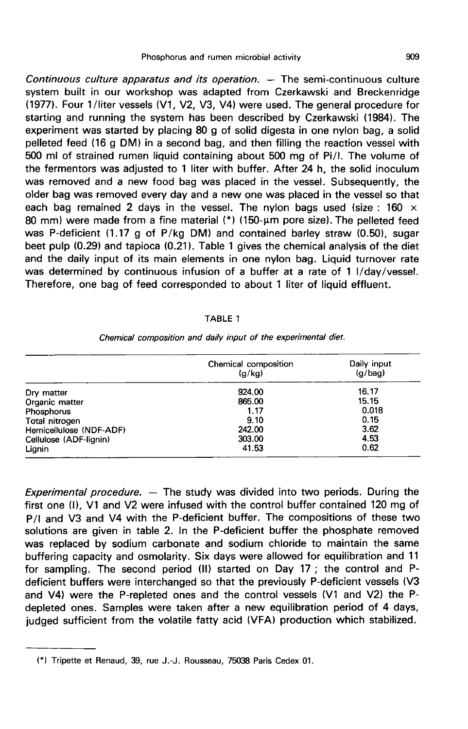Continuous culture apparatus and its operation.  $-$  The semi-continuous culture system built in our workshop was adapted from Czerkawski and Breckenridge (1977). Four 1 /liter vessels (V1, V2, V3, V4) were used. The general procedure for starting and running the system has been described by Czerkawski (1984). The experiment was started by placing 80 g of solid digesta in one nylon bag, a solid pelleted feed (16 g DM) in a second bag, and then filling the reaction vessel with 500 ml of strained rumen liquid containing about 500 mg of Pill. The volume of the fermentors was adjusted to 1 liter with buffer. After 24 h, the solid inoculum was removed and a new food bag was placed in the vessel. Subsequently, the older bag was removed every day and a new one was placed in the vessel so that each bag remained 2 days in the vessel. The nylon bags used (size : 160  $\times$ 80 mm) were made from a fine material  $(*)$  (150- $\mu$ m pore size). The pelleted feed was P-deficient (1.17 g of P/kg DM) and contained barley straw (0.50), sugar beet pulp  $(0.29)$  and tapioca  $(0.21)$ . Table 1 gives the chemical analysis of the diet and the daily input of its main elements in one nylon bag. Liquid turnover rate was determined by continuous infusion of a buffer at a rate of 1 I/day/vessel. Therefore, one bag of feed corresponded to about 1 liter of liquid effluent.

#### TABLE 1

|                         | Chemical composition<br>(g/kg) | Daily input<br>(g/bag) |  |
|-------------------------|--------------------------------|------------------------|--|
| Dry matter              | 924.00                         | 16.17                  |  |
| Organic matter          | 865.00                         | 15.15                  |  |
| Phosphorus              | 1.17                           | 0.018                  |  |
| Total nitrogen          | 9.10                           | 0.15                   |  |
| Hemicellulose (NDF-ADF) | 242.00                         | 3.62                   |  |
| Cellulose (ADF-lignin)  | 303.00                         | 4.53                   |  |
| Lignin                  | 41.53                          | 0.62                   |  |

Chemical composition and daily input of the experimental diet.

*Experimental procedure.*  $-$  The study was divided into two periods. During the first one (1), V1 and V2 were infused with the control buffer contained 120 mg of P/I and V3 and V4 with the P-deficient buffer. The compositions of these two solutions are given in table 2. In the P-deficient buffer the phosphate removed was replaced by sodium carbonate and sodium chloride to maintain the same buffering capacity and osmolarity. Six days were allowed for equilibration and 11 for sampling. The second period (11) started on Day 17 ; the control and Pdeficient buffers were interchanged so that the previously P-deficient vessels (V3 and V4) were the P-repleted ones and the control vessels (V1 and V2) the Pdepleted ones. Samples were taken after a new equilibration period of 4 days, judged sufficient from the volatile fatty acid (VFA) production which stabilized.

<sup>(\*)</sup> Tripette et Renaud, 39, rue J.-J. Rousseau, 75038 Paris Cedex 01.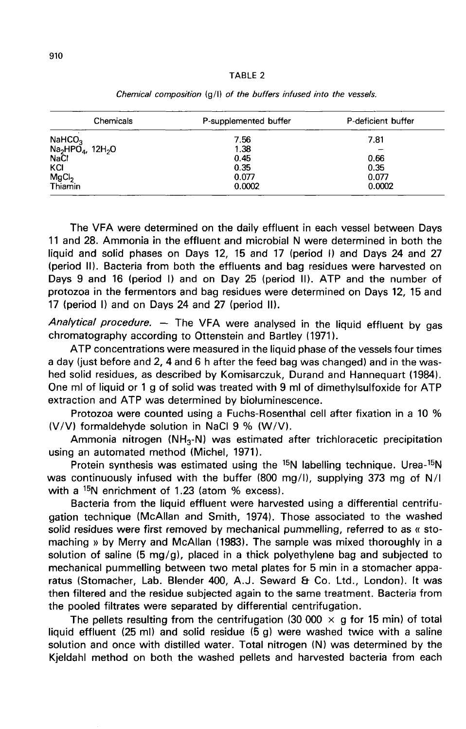#### TABLE<sub>2</sub>

| Chemicals                                                                           | P-supplemented buffer | P-deficient buffer |  |
|-------------------------------------------------------------------------------------|-----------------------|--------------------|--|
|                                                                                     | 7.56                  | 7.81               |  |
| NaHCO <sub>3</sub><br>Na <sub>2</sub> HPO <sub>4</sub> , 12H <sub>2</sub> O<br>NaCl | 1.38                  | -                  |  |
|                                                                                     | 0.45                  | 0.66               |  |
| KCI                                                                                 | 0.35                  | 0.35               |  |
|                                                                                     | 0.077                 | 0.077              |  |
| MgCl <sub>2</sub><br>Thiamin                                                        | 0.0002                | 0.0002             |  |

Chemical composition (g/l) of the buffers infused into the vessels.

The VFA were determined on the daily effluent in each vessel between Days 11 and 28. Ammonia in the effluent and microbial N were determined in both the liquid and solid phases on Days 12, 15 and 17 (period I) and Days 24 and 27 (period 11). Bacteria from both the effluents and bag residues were harvested on Days 9 and 16 (period I) and on Day 25 (period II). ATP and the number of protozoa in the fermentors and bag residues were determined on Days 12, 15 and 17 (period I) and on Days 24 and 27 (period 11).

Analytical procedure.  $-$  The VFA were analysed in the liquid effluent by gas chromatography according to Ottenstein and Bartley (1971).

ATP concentrations were measured in the liquid phase of the vessels four times a day (just before and 2, 4 and 6 h after the feed bag was changed) and in the washed solid residues, as described by Komisarczuk, Durand and Hannequart (1984). One ml of liquid or 1 g of solid was treated with 9 ml of dimethylsulfoxide for ATP extraction and ATP was determined by bioluminescence.

Protozoa were counted using a Fuchs-Rosenthal cell after fixation in a 10 % (V/V) formaldehyde solution in NaCI 9 % (W/V).

iction and ATP was determined by bioluminescence.<br>Protozoa were counted using a Fuchs-Rosenthal cell after fixation in a 10 %<br>') formaldehyde solution in NaCl 9 % (W/V).<br>Ammonia nitrogen (NH<sub>3</sub>-N) was estimated after trich using an automated method (Michel, 1971).

Protein synthesis was estimated using the  $15N$  labelling technique. Urea- $15N$ was continuously infused with the buffer (800 mg/1), supplying 373 mg of N/I with a  $15N$  enrichment of 1.23 (atom % excess).

Bacteria from the liquid effluent were harvested using a differential centrifugation technique (McAllan and Smith, 1974). Those associated to the washed solid residues were first removed by mechanical pummelling, referred to as « stomaching » by Merry and McAllan (1983). The sample was mixed thoroughly in a solution of saline (5 mg/g), placed in a thick polyethylene bag and subjected to mechanical pummelling between two metal plates for 5 min in a stomacher apparatus (Stomacher, Lab. Blender 400, A.J. Seward & Co. Ltd., London). It was then filtered and the residue subjected again to the same treatment. Bacteria from the pooled filtrates were separated by differential centrifugation.

The pellets resulting from the centrifugation (30 000  $\times$  g for 15 min) of total liquid effluent (25 ml) and solid residue  $(5 g)$  were washed twice with a saline solution and once with distilled water. Total nitrogen (N) was determined by the Kjeldahl method on both the washed pellets and harvested bacteria from each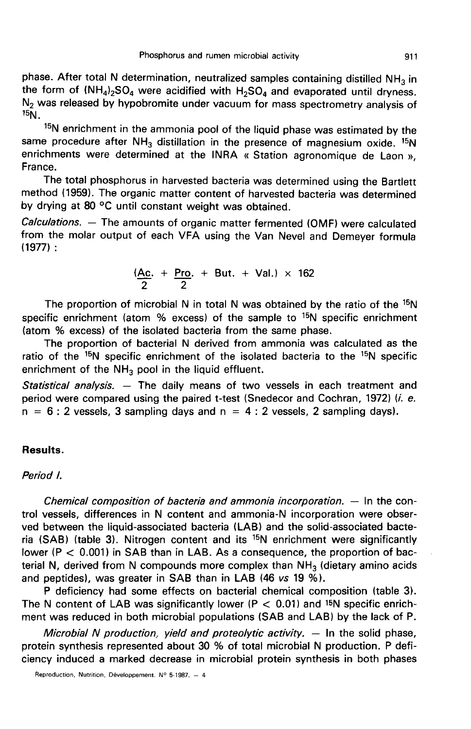phase. After total N determination, neutralized samples containing distilled NH<sub>3</sub> in the form of  $(NH_4)_2SO_4$  were acidified with  $H_2SO_4$  and evaporated until dryness. Phosphorus and rumen microbial activity<br>
phase. After total N determination, neutralized samples containing distilled NH<sub>3</sub> in<br>
the form of  $(NH_4)_2SO_4$  were acidified with  $H_2SO_4$  and evaporated until dryness.<br>
N<sub>2</sub> was  $15N$ .

<sup>15</sup>N enrichment in the ammonia pool of the liquid phase was estimated by the same procedure after  $NH_3$  distillation in the presence of magnesium oxide. <sup>15</sup>N enrichments were determined at the INRA « Station agronomique de Laon », France.

The total phosphorus in harvested bacteria was determined using the Bartlett method (1959). The organic matter content of harvested bacteria was determined by drying at 80 °C until constant weight was obtained.

Calculations. ― The amounts of organic matter fermented (OMF) were calculated from the molar output of each VFA using the Van Nevel and Demeyer formula 11977) :

$$
\frac{(Ac. + Pro. + But. + Val.) \times 162}{2}
$$

The proportion of microbial N in total N was obtained by the ratio of the  $15N$ specific enrichment (atom  $%$  excess) of the sample to  ${}^{15}N$  specific enrichment (atom % excess) of the isolated bacteria from the same phase.

The proportion of bacterial N derived from ammonia was calculated as the ratio of the  $15N$  specific enrichment of the isolated bacteria to the  $15N$  specific enrichment of the  $NH<sub>3</sub>$  pool in the liquid effluent.

Statistical analysis. — The daily means of two vessels in each treatment and period were compared using the paired t-test (Snedecor and Cochran, 1972) (i. e.  $n = 6$ : 2 vessels, 3 sampling days and  $n = 4$ : 2 vessels, 2 sampling days).

## Results.

### Period l.

Chemical composition of bacteria and ammonia incorporation.  $-$  In the control vessels, differences in N content and ammonia-N incorporation were observed between the liquid-associated bacteria (LAB) and the solid-associated bacteria (SAB) (table 3). Nitrogen content and its  $15N$  enrichment were significantly lower ( $P < 0.001$ ) in SAB than in LAB. As a consequence, the proportion of bacterial N, derived from N compounds more complex than  $NH<sub>3</sub>$  (dietary amino acids and peptides), was greater in SAB than in LAB (46 vs 19 %).

P deficiency had some effects on bacterial chemical composition (table 3). The N content of LAB was significantly lower ( $P < 0.01$ ) and <sup>15</sup>N specific enrichment was reduced in both microbial populations (SAB and LAB) by the lack of P.

Microbial N production, yield and proteolytic activity.  $-$  In the solid phase, protein synthesis represented about 30 % of total microbial N production. P deficiency induced a marked decrease in microbial protein synthesis in both phases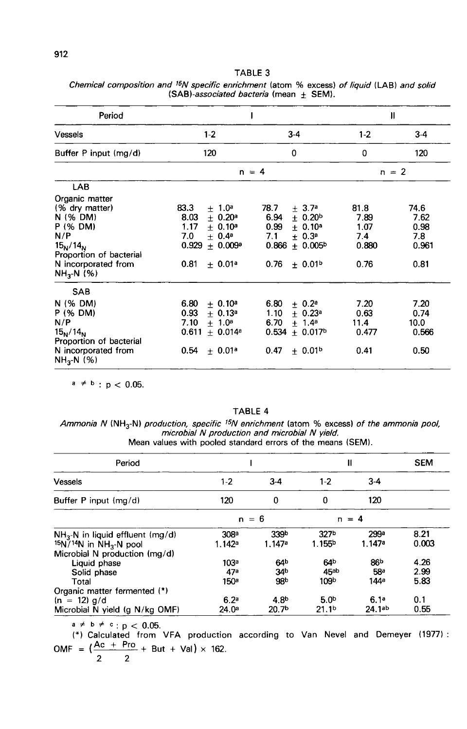| Period                                                                                                                                                               |                                                                                                                                                              | П                                                                                                                                                  |                                              |                                              |
|----------------------------------------------------------------------------------------------------------------------------------------------------------------------|--------------------------------------------------------------------------------------------------------------------------------------------------------------|----------------------------------------------------------------------------------------------------------------------------------------------------|----------------------------------------------|----------------------------------------------|
| Vessels                                                                                                                                                              | $1 - 2$                                                                                                                                                      | $3-4$                                                                                                                                              | $1-2$                                        | $3-4$                                        |
| Buffer P input (mg/d)                                                                                                                                                | 120                                                                                                                                                          | 0                                                                                                                                                  | 0                                            | 120                                          |
|                                                                                                                                                                      | $n = 4$                                                                                                                                                      | $n = 2$                                                                                                                                            |                                              |                                              |
| <b>LAB</b>                                                                                                                                                           |                                                                                                                                                              |                                                                                                                                                    |                                              |                                              |
| Organic matter<br>(% dry matter)<br>N (% DM)<br>P (% DM)<br>N/P<br>15 <sub>N</sub> /14 <sub>N</sub><br>Proportion of bacterial<br>N incorporated from<br>$NH3-N$ (%) | 83.3<br>$+1.0^a$<br>8.03<br>$\pm$ 0.20 <sup>a</sup><br>1.17<br>± 0.10 <sup>a</sup><br>7.0<br>$+ 0.4^a$<br>0.929<br>$+ 0.009a$<br>0.81<br>± 0.01 <sup>a</sup> | 78.7<br>$+3.7a$<br>6.94<br>$\pm$ 0.20 <sup>b</sup><br>0.99<br>$+ 0.10^a$<br>7.1<br>$+ 0.3^a$<br>0.866<br>$+ 0.005b$<br>0.76<br>± 0.01 <sup>b</sup> | 81.8<br>7.89<br>1.07<br>7.4<br>0.880<br>0.76 | 74.6<br>7.62<br>0.98<br>7.8<br>0.961<br>0.81 |
| <b>SAB</b><br>N (% DM)<br>P (% DM)<br>N/P<br>$15_{N}/14_{N}$<br>Proportion of bacterial<br>N incorporated from<br>$NH_{3}N$ (%)                                      | 6.80<br>$+ 0.10^a$<br>0.93<br>$+ 0.13a$<br>7.10<br>$+ 1.0^a$<br>0.611<br>$+ 0.014a$<br>0.54<br>± 0.01 <sup>a</sup>                                           | 6.80<br>$\pm$ 0.2 <sup>a</sup><br>1.10<br>$+ 0.23$ <sup>a</sup><br>$+ 1.4^a$<br>6.70<br>0.534<br>$+0.017b$<br>0.47<br>± 0.01 <sup>b</sup>          | 7.20<br>0.63<br>11.4<br>0.477<br>0.41        | 7.20<br>0.74<br>10.0<br>0.566<br>0.50        |

TABLE 3 Chemical composition and <sup>15</sup>N specific enrichment (atom % excess) of liquid (LAB) and solid  $(SAB)$ -associated bacteria (mean  $\pm$  SEM).

 $a \neq b$  :  $p < 0.05$ .

### TABLE 4

Ammonia N (NH<sub>3</sub>-N) production, specific <sup>15</sup>N enrichment (atom % excess) of the ammonia pool, microbial N production and microbial N yield. Mean values with pooled standard errors of the means (SEM).

| Period                                           |                  |                    | н                  |                    | <b>SEM</b> |
|--------------------------------------------------|------------------|--------------------|--------------------|--------------------|------------|
| Vessels                                          | $1 - 2$          | $3-4$              | $1-2$              | $3-4$              |            |
| Buffer P input (mg/d)                            | 120              | $\Omega$           | 0                  | 120                |            |
|                                                  | $n = 6$          |                    | $n = 4$            |                    |            |
| $NH3-N$ in liquid effluent (mg/d)                | 308 <sup>a</sup> | 339b               | 327 <sub>b</sub>   | 299а               | 8.21       |
| $15N$ <sup>14</sup> N in NH <sub>3</sub> -N pool | 1.142a           | 1.147 <sup>a</sup> | 1.155 <sup>b</sup> | 1.147a             | 0.003      |
| Microbial N production (mg/d)                    |                  |                    |                    |                    |            |
| Liquid phase                                     | 103 <sup>a</sup> | 64 <sup>b</sup>    | 64 <sup>b</sup>    | 86 <sup>b</sup>    | 4.26       |
| Solid phase                                      | 47 <sup>a</sup>  | 34 <sup>b</sup>    | 45ab               | <b>58ª</b>         | 2.99       |
| Total                                            | 150 <sup>s</sup> | 98 <sub>b</sub>    | 109 <sup>b</sup>   | 144 <sup>a</sup>   | 5.83       |
| Organic matter fermented (*)                     |                  |                    |                    |                    |            |
| $(n = 12)$ g/d                                   | 6.2 <sup>a</sup> | 4.8 <sup>b</sup>   | 5.0 <sup>b</sup>   | 6.1a               | 0.1        |
| Microbial N yield (g N/kg OMF)                   | 24.0ª            | 20.7 <sup>b</sup>  | 21.1 <sup>b</sup>  | 24.1 <sup>ab</sup> | 0.55       |

 $a \ne b \ne c$ ;  $p < 0.05$ .<br>(\*) Calculated from VFA production according to Van Nevel and Demeyer (1977): OMF =  $(\frac{Ac + Pro}{2} + But + Val) \times 162$ .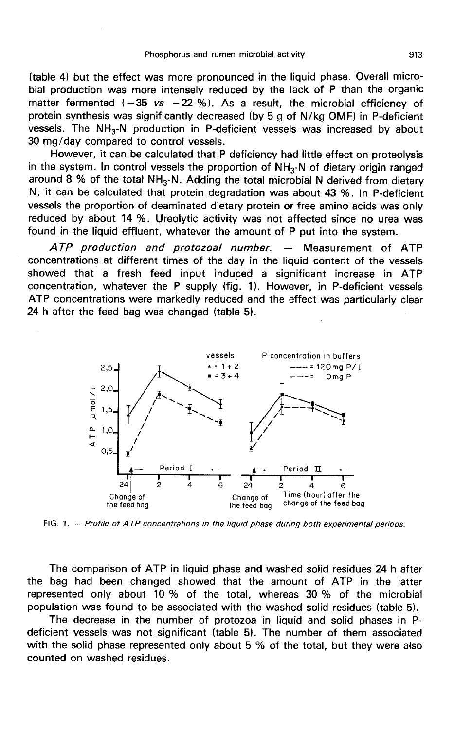(table 4) but the effect was more pronounced in the liquid phase. Overall microbial production was more intensely reduced by the lack of P than the organic matter fermented  $(-35 \text{ vs } -22 \text{ %})$ . As a result, the microbial efficiency of protein synthesis was significantly decreased (by 5 g of N/kg OMF) in P-deficient vessels. The NH<sub>3</sub>-N production in P-deficient vessels was in protein synthesis was significantly decreased (by 5 g of N/kg OMF) in P-deficient 30 mg/day compared to control vessels.

However, it can be calculated that P deficiency had little effect on proteolysis in the system. In control vessels the proportion of NH<sub>3</sub>-N of dietary origin ranged around 8 % of the total NH<sub>3</sub>-N. Adding the total microbial N derived from dietary N, it can be calculated that protein degradation was about 43 %. In P-deficient vessels the proportion of deaminated dietary protein or free amino acids was only reduced by about 14 %. Ureolytic activity was not affected since no urea was found in the liquid effluent, whatever the amount of P put into the system.

ATP production and protozoal number. ― Measurement of ATP concentrations at different times of the day in the liquid content of the vessels showed that a fresh feed input induced a significant increase in ATP concentration, whatever the P supply (fig. 1). However, in P-deficient vessels ATP concentrations were markedly reduced and the effect was particularly clear 24 h after the feed bag was changed (table 5).



 $FIG. 1. - Profile of ATP concentrations in the liquid phase during both experimental periods.$ 

The comparison of ATP in liquid phase and washed solid residues 24 h after the bag had been changed showed that the amount of ATP in the latter represented only about 10 % of the total, whereas 30 % of the microbial population was found to be associated with the washed solid residues (table 5).

The decrease in the number of protozoa in liquid and solid phases in Pdeficient vessels was not significant (table 5). The number of them associated with the solid phase represented only about 5 % of the total, but they were also counted on washed residues.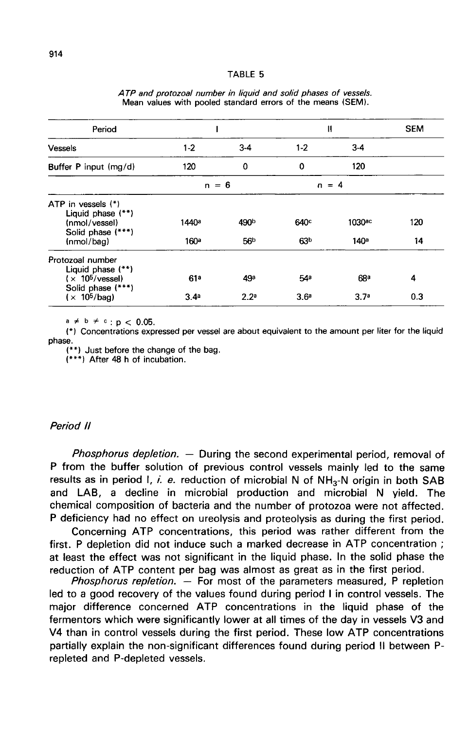#### TARIF<sub>5</sub>

| Period                                                                        |                   |                  |                  | $\mathbf{\mathsf{I}}$ | <b>SEM</b> |
|-------------------------------------------------------------------------------|-------------------|------------------|------------------|-----------------------|------------|
| Vessels                                                                       | $1-2$             | $3 - 4$          | $1-2$            | $3-4$                 |            |
| Buffer P input (mg/d)                                                         | 120               | 0                | 0                | 120                   |            |
|                                                                               | $n = 6$           |                  |                  | $n = 4$               |            |
| ATP in vessels (*)<br>Liquid phase (**)<br>(nmol/vessel)<br>Solid phase (***) | 1440 <sup>a</sup> | 490b             | 640 <sup>c</sup> | 1030 <sup>ac</sup>    | 120        |
| (nmol/baq)                                                                    | 160 <sup>a</sup>  | 56 <sup>b</sup>  | 63 <sup>b</sup>  | 140 <sup>a</sup>      | 14         |
| Protozoal number<br>Liquid phase (**)<br>(x 10 <sup>5</sup> /vessel)          | 61a               | 49а              | 54 <sup>e</sup>  | 68 <sup>a</sup>       | 4          |
| Solid phase (***)<br>(x 10 <sup>5</sup> /baq)                                 | 3.4 <sup>a</sup>  | 2.2 <sup>a</sup> | 3.6 <sup>e</sup> | 3.7 <sup>a</sup>      | 0.3        |

#### ATP and protozoal number in liquid and solid phases of vessels. Mean values with pooled standard errors of the means (SEM).

 $a \ne b \ne c$  :  $p < 0.05$ .

(\*) Concentrations expressed per vessel are about equivalent to the amount per liter for the liquid phase.

(\*\*) Just before the change of the bag.

 $(***)$  After 48 h of incubation.

### Period 11

Phosphorus depletion. — During the second experimental period, removal of P from the buffer solution of previous control vessels mainly led to the same *Phosphorus depletion.* – During the second experimental period, removal of P from the buffer solution of previous control vessels mainly led to the same results as in period I, *i. e.* reduction of microbial N of  $NH_3-N$  and LAB, a decline in microbial production and microbial N yield. The chemical composition of bacteria and the number of protozoa were not affected. P deficiency had no effect on ureolysis and proteolysis as during the first period.

Concerning ATP concentrations, this period was rather different from the first. P depletion did not induce such a marked decrease in ATP concentration ; at least the effect was not significant in the liquid phase. In the solid phase the reduction of ATP content per bag was almost as great as in the first period.

*Phosphorus repletion.*  $-$  For most of the parameters measured, P repletion led to a good recovery of the values found during period I in control vessels. The major difference concerned ATP concentrations in the liquid phase of the fermentors which were significantly lower at all times of the day in vessels V3 and V4 than in control vessels during the first period. These low ATP concentrations partially explain the non-significant differences found during period II between Prepleted and P-depleted vessels.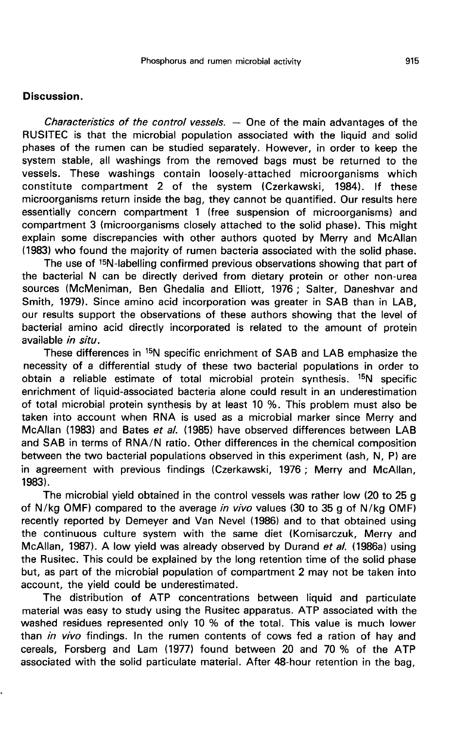## Discussion.

Characteristics of the control vessels.  $-$  One of the main advantages of the RUSITEC is that the microbial population associated with the liquid and solid phases of the rumen can be studied separately. However, in order to keep the system stable, all washings from the removed bags must be returned to the vessels. These washings contain loosely-attached microorganisms which constitute compartment 2 of the system (Czerkawski, 1984). If these microorganisms return inside the bag, they cannot be quantified. Our results here essentially concern compartment 1 (free suspension of microorganisms) and compartment 3 (microorganisms closely attached to the solid phase). This might explain some discrepancies with other authors quoted by Merry and McAllan (1983) who found the majority of rumen bacteria associated with the solid phase.

The use of <sup>15</sup>N-labelling confirmed previous observations showing that part of the bacterial N can be directly derived from dietary protein or other non-urea sources (McMeniman, Ben Ghedalia and Elliott, 1976 ; Salter, Daneshvar and Smith, 1979). Since amino acid incorporation was greater in SAB than in LAB, our results support the observations of these authors showing that the level of bacterial amino acid directly incorporated is related to the amount of protein available in situ.

These differences in <sup>15</sup>N specific enrichment of SAB and LAB emphasize the necessity of a differential study of these two bacterial populations in order to obtain a reliable estimate of total microbial protein synthesis. <sup>15</sup>N specific enrichment of liquid-associated bacteria alone could result in an underestimation of total microbial protein synthesis by at least 10 %. This problem must also be taken into account when RNA is used as a microbial marker since Merry and McAllan (1983) and Bates et al. (1985) have observed differences between LAB and SAB in terms of RNA/N ratio. Other differences in the chemical composition between the two bacterial populations observed in this experiment (ash, N, P) are in agreement with previous findings (Czerkawski, 1976 ; Merry and McAllan,  $1983$ ).

The microbial yield obtained in the control vessels was rather low (20 to 25 g of N/kg OMF) compared to the average in vivo values (30 to 35 g of N/kg OMF) recently reported by Demeyer and Van Nevel (1986) and to that obtained using the continuous culture system with the same diet (Komisarczuk, Merry and McAllan, 1987). A low yield was already observed by Durand et al. (1986a) using the Rusitec. This could be explained by the long retention time of the solid phase but, as part of the microbial population of compartment 2 may not be taken into account, the yield could be underestimated.

The distribution of ATP concentrations between liquid and particulate material was easy to study using the Rusitec apparatus. ATP associated with the washed residues represented only 10 % of the total. This value is much lower than in vivo findings. In the rumen contents of cows fed a ration of hay and cereals, Forsberg and Lam (1977) found between 20 and 70 % of the ATP associated with the solid particulate material. After 48-hour retention in the bag,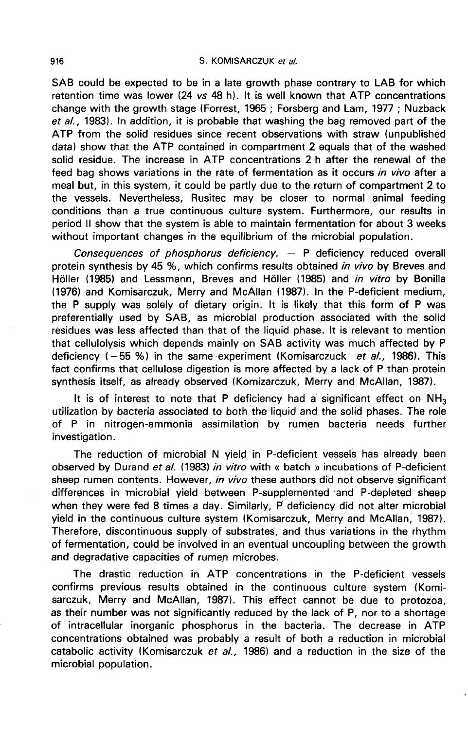SAB could be expected to be in a late growth phase contrary to LAB for which retention time was lower (24 vs 48 h). It is well known that ATP concentrations change with the growth stage (Forrest, 1965 ; Forsberg and Lam, 1977 ; Nuzback et al., 1983). In addition, it is probable that washing the bag removed part of the ATP from the solid residues since recent observations with straw (unpublished data) show that the ATP contained in compartment 2 equals that of the washed solid residue. The increase in ATP concentrations 2 h after the renewal of the feed bag shows variations in the rate of fermentation as it occurs in vivo after a meal but, in this system, it could be partly due to the return of compartment 2 to the vessels. Nevertheless, Rusitec may be closer to normal animal feeding conditions than a true continuous culture system. Furthermore, our results in period II show that the system is able to maintain fermentation for about 3 weeks without important changes in the equilibrium of the microbial population.

Consequences of phosphorus deficiency. ― P deficiency reduced overall protein synthesis by 45 %, which confirms results obtained in vivo by Breves and Höller (1985) and Lessmann, Breves and Höller (1985) and in vitro by Bonilla (1976) and Komisarczuk, Merry and McAllan (1987). In the P-deficient medium, the P supply was solely of dietary origin. It is likely that this form of P was preferentially used by SAB, as microbial production associated with the solid residues was less affected than that of the liquid phase. It is relevant to mention that cellulolysis which depends mainly on SAB activity was much affected by P deficiency  $(-55\%)$  in the same experiment (Komisarczuck et al., 1986). This fact confirms that cellulose digestion is more affected by a lack of P than protein synthesis itself, as already observed (Komizarczuk, Merry and McAllan, 1987).

It is of interest to note that P deficiency had a significant effect on  $NH<sub>3</sub>$ utilization by bacteria associated to both the liquid and the solid phases. The role of P in nitrogen-ammonia assimilation by rumen bacteria needs further investigation.

The reduction of microbial N yield in P-deficient vessels has already been observed by Durand et al. (1983) in vitro with « batch » incubations of P-deficient sheep rumen contents. However, in vivo these authors did not observe significant differences in microbial yield between P-supplemented and P-depleted sheep when they were fed 8 times a day. Similarly, P deficiency did not alter microbial yield in the continuous culture system (Komisarczuk, Merry and McAllan, 1987). Therefore, discontinuous supply of substrates, and thus variations in the rhythm of fermentation, could be involved in an eventual uncoupling between the growth and degradative capacities of rumen microbes.

The drastic reduction in ATP concentrations in the P-deficient vessels confirms previous results obtained in the continuous culture system (Komisarczuk, Merry and McAllan, 1987). This effect cannot be due to protozoa, as their number was not significantly reduced by the lack of P, nor to a shortage of intracellular inorganic phosphorus in the bacteria. The decrease in ATP concentrations obtained was probably a result of both a reduction in microbial catabolic activity (Komisarczuk et al., 1986) and a reduction in the size of the microbial population.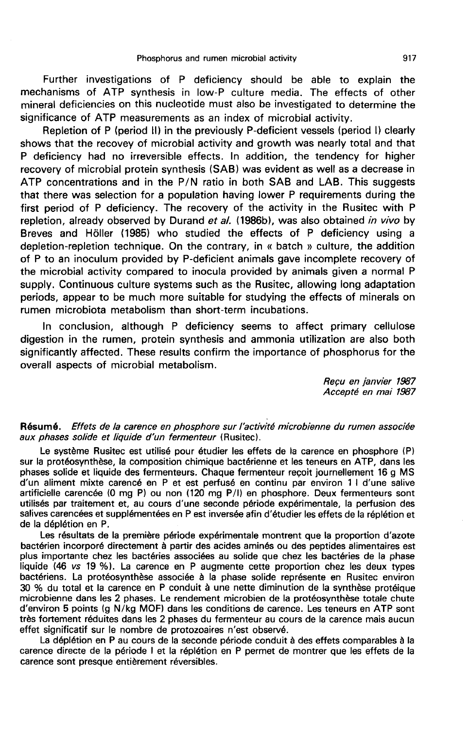Further investigations of P deficiency should be able to explain the mechanisms of ATP synthesis in low-P culture media. The effects of other mineral deficiencies on this nucleotide must also be investigated to determine the significance of ATP measurements as an index of microbial activity.

Repletion of P (period II) in the previously P-deficient vessels (period I) clearly shows that the recovey of microbial activity and growth was nearly total and that P deficiency had no irreversible effects. In addition, the tendency for higher recovery of microbial protein synthesis (SAB) was evident as well as a decrease in ATP concentrations and in the P/N ratio in both SAB and LAB. This suggests that there was selection for a population having lower P requirements during the first period of P deficiency. The recovery of the activity in the Rusitec with P repletion, already observed by Durand et al. (1986b), was also obtained in vivo by Breves and H61ler (1985) who studied the effects of P deficiency using a depletion-repletion technique. On the contrary, in « batch » culture, the addition of P to an inoculum provided by P-deficient animals gave incomplete recovery of the microbial activity compared to inocula provided by animals given a normal P supply. Continuous culture systems such as the Rusitec, allowing long adaptation periods, appear to be much more suitable for studying the effects of minerals on rumen microbiota metabolism than short-term incubations.

In conclusion, although P deficiency seems to affect primary cellulose digestion in the rumen, protein synthesis and ammonia utilization are also both significantly affected. These results confirm the importance of phosphorus for the overall aspects of microbial metabolism.

> Reçu en janvier 1987 Accept6 en mai 1987

### Résumé. Effets de la carence en phosphore sur l'activité microbienne du rumen associée aux phases solide et liquide d'un fermenteur (Rusitec).

Le système Rusitec est utilisé pour étudier les effets de la carence en phosphore (P) sur la protéosynthèse, la composition chimique bactérienne et les teneurs en ATP, dans les phases solide et liquide des fermenteurs. Chaque fermenteur reçoit journellement 16 g MS d'un aliment mixte carencé en P et est perfusé en continu par environ 1 I d'une salive artificielle carencée (0 mg P) ou non (120 mg P/1) en phosphore. Deux fermenteurs sont utilisés par traitement et, au cours d'une seconde période expérimentale, la perfusion des salives carencées et supplémentées en P est inversée afin d'étudier les effets de la réplétion et de la déplétion en P.

Les résultats de la première période expérimentale montrent que la proportion d'azote bactérien incorporé directement à partir des acides aminés ou des peptides alimentaires est plus importante chez les bactéries associées au solide que chez les bactéries de la phase liquide (46 vs 19 %). La carence en P augmente cette proportion chez les deux types bactériens. La protéosynthèse associée à la phase solide représente en Rusitec environ 30 % du total et la carence en P conduit à une nette diminution de la synthèse protéique microbienne dans les 2 phases. Le rendement microbien de la protéosynthèse totale chute d'environ 5 points (g N/kg MOF) dans les conditions de carence. Les teneurs en ATP sont très fortement réduites dans les 2 phases du fermenteur au cours de la carence mais aucun effet significatif sur le nombre de protozoaires n'est observé.

La déplétion en P au cours de la seconde période conduit à des effets comparables à la carence directe de la période 1 et la réplétion en P permet de montrer que les effets de la carence sont presque entièrement réversibles.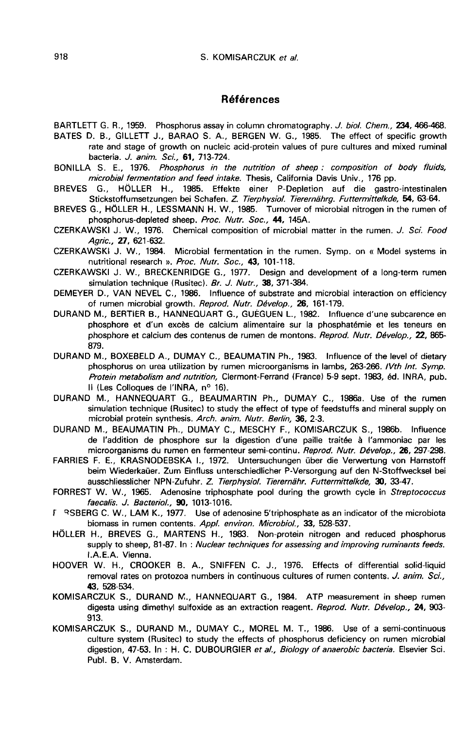### Références

BARTLETT G. R., 1959. Phosphorus assay in column chromatography. J. biol. Chem., 234, 466-468.

- BATES D. B., GILLETT J., BARAO S. A., BERGEN W. G., 1985. The effect of specific growth rate and stage of growth on nucleic acid-protein values of pure cultures and mixed ruminal bacteria. *J. anim. Sci.*, 61, 713-724.
- BONILLA S. E., 1976. Phosphorus in the nutrition of sheep : composition of body fluids, microbial fermentation and feed intake. Thesis, California Davis Univ., 176 pp.
- BREVES G., HÔLLER H., 1985. Effekte einer P-Depletion auf die gastro-intestinalen Stickstoffumsetzungen bei Schafen. Z Tierphysiol. Tierernéhrg. Futtermittelkde, 54, 63-64.
- BREVES G., HÔLLER H., LESSMANN H. W., 1985. Turnover of microbial nitrogen in the rumen of phosphorus-depleted sheep. Proc. Nutr. Soc., 44, 145A.
- CZERKAWSKI J. W., 1976. Chemical composition of microbial matter in the rumen. J. Sci. Food Agric., 27, 621-632.

CZERKAWSKI J. W., 1984. Microbial fermentation in the rumen. Symp. on « Model systems in nutritional research ». Proc. Nutr. Soc., 43, 101-118.

- CZERKAWSKI J. W., BRECKENRIDGE G., 1977. Design and development of a long-term rumen simulation technique (Rusitec). Br. J. Nutr., 38, 371-384.
- DEMEYER D., VAN NEVEL C., 1986. Influence of substrate and microbial interaction on efficiency of rumen microbial growth. Reprod. Nutr. Dévelop., 26, 161-179.
- DURAND M., BERTIER B., HANNEQUART G., GUÉGUEN L., 1982. Influence d'une subcarence en phosphore et d'un excès de calcium alimentaire sur la phosphatémie et les teneurs en phosphore et calcium des contenus de rumen de montons. Reprod. Nutr. Dévelop., 22, 865-879.
- DURAND M., BOXEBELD A., DUMAY C., BEAUMATIN Ph., 1983. Influence of the level of dietary phosphorus on urea utilization by rumen microorganisms in lambs, 263-266. IVth Int. Symp. Protein metabolism and nutrition, Clermont-Ferrand (France) 5-9 sept. 1983, éd. INRA, pub. Il (Les Colloques de l'INRA, n° 16).
- DURAND M., HANNEQUART G., BEAUMARTIN Ph., DUMAY C., 1986a. Use of the rumen simulation technique (Rusitec) to study the effect of type of feedstuffs and mineral supply on microbial protein synthesis. Arch. anim. Nutr. Berlin, 36, 2-3.
- DURAND M., BEAUMATIN Ph., DUMAY C., MESCHY F., KOMISARCZUK S., 1986b. Influence de l'addition de phosphore sur la digestion d'une paille traitée à l'ammoniac par les microorganisms du rumen en fermenteur semi-continu. Reprod. Nutr. Dévelop., 26, 297-298.
- FARRIES F. E., KRASNODEBSKA L, 1972. Untersuchungen über die Verwertung von Harnstoff beim Wiederkaüer. Zum Einfluss unterschiedlicher P-Versorgung auf den N-Stoffwecksel bei ausschliesslicher NPN-Zufuhr. Z. Tierphysiol. Tierernähr. Futtermittelkde, 30, 33-47.
- FORREST W. W., 1965. Adenosine triphosphate pool during the growth cycle in Streptococcus faecalis. J. Bacteriol., 90, 1013-1016.
- r QSBERG C. W., LAM K., 1977. Use of adenosine 5'triphosphate as an indicator of the microbiota biomass in rumen contents. Appl. environ. Microbiol., 33, 528-537.
- HÔLLER H., BREVES G., MARTENS H., 1983. Non-protein nitrogen and reduced phosphorus supply to sheep, 81-87. In : Nuclear techniques for assessing and improving ruminants feeds. LA.E.A. Vienna.
- HOOVER W. H., CROOKER B. A., SNIFFEN C. J., 1976. Effects of differential solid-liquid removal rates on protozoa numbers in continuous cultures of rumen contents. J. anim. Sci., 43, 528-534.
- KOMISARCZUK S., DURAND N., HANNEQUART G., 1984. ATP measurement in sheep rumen digesta using dimethyl sulfoxide as an extraction reagent. Reprod. Nutr. Dévelop., 24, 903-913.
- KOMISARCZUK S., DURAND M., DUMAY C., MOREL M. T., 1986. Use of a semi-continuous culture system (Rusitec) to study the effects of phosphorus deficiency on rumen microbial digestion, 47-53. In : H. C. DUBOURGIER et al., Biology of anaerobic bacteria. Elsevier Sci. Publ. B. V. Amsterdam.